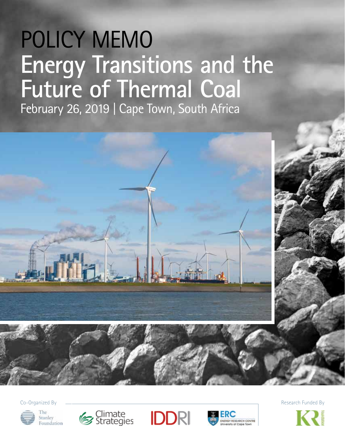# POLICY MEMO **Energy Transitions and the Future of Thermal Coal**

February 26, 2019 | Cape Town, South Africa



Co-Organized By **Exercise Exercise Contract Contract Contract Contract Contract Contract Contract Contract Contract Contract Contract Contract Contract Contract Contract Contract Contract Contract Contract Contract Contrac** 







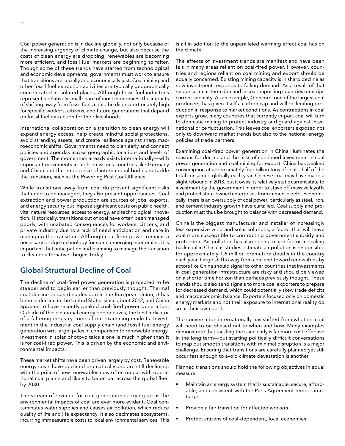Coal power generation is in decline globally, not only because of the increasing urgency of climate change, but also because the costs of clean energy are dropping, renewables are becoming more efficient, and fossil fuel markets are beginning to falter. Though some of these trends have started from technological and economic developments, governments must work to ensure that transitions are socially and economically just. Coal mining and other fossil fuel extraction activities are typically geographically concentrated in isolated places. Although fossil fuel industries represent a relatively small share of most economies, the impacts of shifting away from fossil fuels could be disproportionately high for specific workers, citizens, and future generations that depend on fossil fuel extraction for their livelihoods.

International collaboration on a transition to clean energy will expand energy access, help create mindful social protections, avoid stranding assets, and create resilience against sharp macroeconomic shifts. Governments need to plan early and connect policies and agendas across geographic locations and levels of government. The momentum already exists internationally—with important movements in high-emissions countries like Germany and China and the emergence of international bodies to tackle the transition, such as the Powering Past Coal Alliance.

While transitions away from coal do present significant risks that need to be managed, they also present opportunities. Coal extraction and power production are sources of jobs, exports, and energy security but impose significant costs on public health, vital natural resources, access to energy, and technological innovation. Historically, transitions out of coal have often been managed poorly, with unabated consequences for workers, citizens, and private industry due to a lack of need anticipation and care in managing the transition. Although coal-fired power remains a necessary bridge technology for some emerging economies, it is important that anticipation and planning to manage the transition to cleaner alternatives begins today.

## **Global Structural Decline of Coal**

The decline of coal-fired power generation is projected to be steeper and to begin earlier than previously thought. Thermal coal decline began decades ago in the European Union; it has been in decline in the United States since about 2012; and China appears to have recently peaked coal-fired power generation. Outside of these national energy perspectives, the best indicator of a faltering industry comes from examining markets. Investment in the industrial coal supply chain (and fossil fuel energy generation writ large) pales in comparison to renewable energy. Investment in solar photovoltaics alone is much higher than it is for coal-fired power. This is driven by the economic and environmental impacts.

These market shifts have been driven largely by cost. Renewable energy costs have declined dramatically and are still declining, with the price of new renewables now often on par with operational coal plants and likely to be on par across the global fleet by 2030.

The stream of revenue for coal generation is drying up as the environmental impacts of coal are ever more evident. Coal contaminates water supplies and causes air pollution, which reduce quality of life and life expectancy. It also decimates ecosystems, incurring immeasurable costs to local environmental services. This is all in addition to the unparalleled warming effect coal has on the climate.

The effects of investment trends are manifest and have been felt in many areas reliant on coal-fired power. However, countries and regions reliant on coal mining and export should be equally concerned. Existing mining capacity is in sharp decline as new investment responds to falling demand. As a result of that response, near-term demand in coal-importing countries outstrips current capacity. As an example, Glencore, one of the largest coal producers, has given itself a carbon cap and will be limiting production in response to market conditions. As contractions in coal exports grow, many countries that currently import coal will turn to domestic mining to protect industry and guard against international price fluctuation. This leaves coal exporters exposed not only to downward market trends but also to the national energy policies of trade partners.

Examining coal-fired power generation in China illuminates the reasons for decline and the risks of continued investment in coal power generation and coal mining for export. China has peaked consumption at approximately four billion tons of coal—half of the total consumed globally each year. Chinese coal may have made a slight rebound in 2018, but it owes its relatively static current state to investment by the government in order to stave off massive layoffs and protect state-owned enterprises from immense debt. Economically, there is an oversupply of coal power, particularly as steel, iron, and cement industry growth have curtailed. Coal supply and production must thus be brought to balance with decreased demand.

China is the biggest manufacturer and installer of increasingly less expensive wind and solar solutions, a factor that will leave coal more susceptible to contracting government subsidy and protection. Air pollution has also been a major factor in scaling back coal in China as studies estimate air pollution is responsible for approximately 1.6 million premature deaths in the country each year. Large shifts away from coal and toward renewables by actors like China should signal to other countries that investments in coal generation infrastructure are risky and should be viewed on a shorter time horizon than perhaps previously thought. These trends should also send signals to more coal exporters to prepare for decreased demand, which could potentially skew trade deficits and macroeconomic balance. Exporters focused only on domestic energy markets and not their exposure to international reality do so at their own peril.

The conversation internationally has shifted from whether coal will need to be phased out to when and how. Many examples demonstrate that tackling the issue early is far more cost effective in the long term—but starting politically difficult conversations to map out smooth transitions with minimal disruption is a major challenge. Ensuring that transitions are carefully planned yet still occur fast enough to avoid climate devastation is another.

Planned transitions should hold the following objectives in equal measure:

- Maintain an energy system that is sustainable, secure, affordable, and consistent with the Paris Agreement temperature target.
- Provide a fair transition for affected workers.
- Protect citizens of coal-dependent, local economies.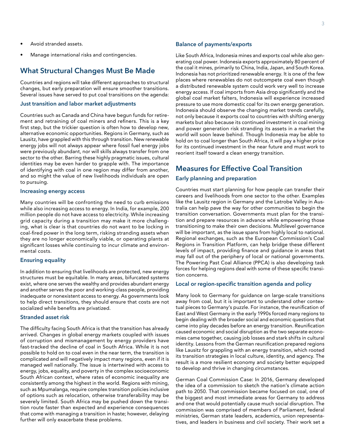- Avoid stranded assets.
- Manage international risks and contingencies.

### **What Structural Changes Must Be Made**

Countries and regions will take different approaches to structural changes, but early preparation will ensure smoother transitions. Several issues have served to put coal transitions on the agenda:

#### **Just transition and labor market adjustments**

Countries such as Canada and China have begun funds for retirement and retraining of coal miners and refiners. This is a key first step, but the trickier question is often how to develop new, alternative economic opportunities. Regions in Germany, such as Lausitz, have grappled with this through transition. New renewable energy jobs will not always appear where fossil fuel energy jobs were previously abundant, nor will skills always transfer from one sector to the other. Barring these highly pragmatic issues, cultural identities may be even harder to grapple with. The importance of identifying with coal in one region may differ from another, and so might the value of new livelihoods individuals are open to pursuing.

#### **Increasing energy access**

Many countries will be confronting the need to curb emissions while also increasing access to energy. In India, for example, 200 million people do not have access to electricity. While increasing grid capacity during a transition may make it more challenging, what is clear is that countries do not want to be locking in coal-fired power in the long term, risking stranding assets when they are no longer economically viable, or operating plants at significant losses while continuing to incur climate and environmental costs.

#### **Ensuring equality**

In addition to ensuring that livelihoods are protected, new energy structures must be equitable. In many areas, bifurcated systems exist, where one serves the wealthy and provides abundant energy and another serves the poor and working-class people, providing inadequate or nonexistent access to energy. As governments look to help direct transitions, they should ensure that costs are not socialized while benefits are privatized.

#### **Stranded asset risk**

The difficulty facing South Africa is that the transition has already arrived. Changes in global energy markets coupled with issues of corruption and mismanagement by energy providers have fast-tracked the decline of coal in South Africa. While it is not possible to hold on to coal even in the near term, the transition is complicated and will negatively impact many regions, even if it is managed well nationally. The issue is intertwined with access to energy, jobs, equality, and poverty in the complex socioeconomic South African context, where rates of economic inequality are consistently among the highest in the world. Regions with mining, such as Mpumalanga, require complex transition policies inclusive of options such as relocation, otherwise transferability may be severely limited. South Africa may be pushed down the transition route faster than expected and experience consequences that come with managing a transition in haste; however, delaying further will only exacerbate these problems.

#### **Balance of payments/exports**

Like South Africa, Indonesia mines and exports coal while also generating coal power. Indonesia exports approximately 80 percent of the coal it mines, primarily to China, India, Japan, and South Korea. Indonesia has not prioritized renewable energy. It is one of the few places where renewables do not outcompete coal even though a distributed renewable system could work very well to increase energy access. If coal imports from Asia drop significantly and the global coal market falters, Indonesia will experience increased pressure to use more domestic coal for its own energy generation. Indonesia should observe the changing market trends carefully, not only because it exports coal to countries with shifting energy markets but also because its continued investment in coal mining and power generation risk stranding its assets in a market the world will soon leave behind. Though Indonesia may be able to hold on to coal longer than South Africa, it will pay a higher price for its continued investment in the near future and must work to reorient itself toward a clean energy transition.

## **Measures for Effective Coal Transition**

#### **Early planning and preparation**

Countries must start planning for how people can transfer their careers and livelihoods from one sector to the other. Examples like the Lausitz region in Germany and the Latrobe Valley in Australia can help pave the way for other communities to begin the transition conversation. Governments must plan for the transition and prepare resources in advance while empowering those transitioning to make their own decisions. Multilevel governance will be important, as the issue spans from highly local to national. Regional exchanges, such as the European Commission's Coal Regions in Transition Platform, can help bridge these different levels of impact, providing finance and guidance in areas that may fall out of the periphery of local or national governments. The Powering Past Coal Alliance (PPCA) is also developing task forces for helping regions deal with some of these specific transition concerns.

#### **Local or region-specific transition agenda and policy**

Many look to Germany for guidance on large-scale transitions away from coal, but it is important to understand other contextual pieces to Germany's puzzle. For instance, the reunification of East and West Germany in the early 1990s forced many regions to begin dealing with the broader social and economic questions that came into play decades before an energy transition. Reunification caused economic and social disruption as the two separate economies came together, causing job losses and stark shifts in cultural identity. Lessons from the German reunification prepared regions like Lausitz for grappling with an energy transition, which rooted its transition strategies in local culture, identity, and agency. The result is a more resilient economy and society better equipped to develop and thrive in changing circumstances.

German Coal Commission Case: In 2016, Germany developed the idea of a commission to sketch the nation's climate action path to 2050. That commission became focused on coal, one of the biggest and most immediate areas for Germany to address and one that would potentially cause much social disruption. The commission was comprised of members of Parliament, federal ministries, German state leaders, academics, union representatives, and leaders in business and civil society. Their work set a